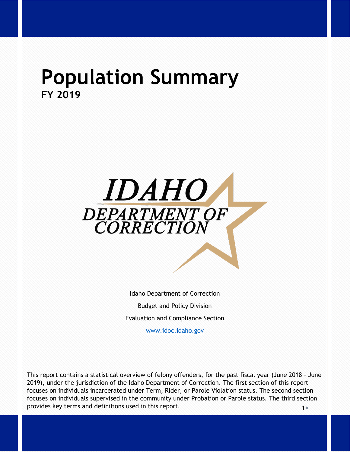# **Population Summary FY 2019**



Idaho Department of Correction Budget and Policy Division Evaluation and Compliance Section

[www.idoc.idaho.gov](http://www.idoc.idaho.gov/)

 $1<sub>e</sub>$ This report contains a statistical overview of felony offenders, for the past fiscal year (June 2018 – June 2019), under the jurisdiction of the Idaho Department of Correction. The first section of this report focuses on individuals incarcerated under Term, Rider, or Parole Violation status. The second section focuses on individuals supervised in the community under Probation or Parole status. The third section provides key terms and definitions used in this report.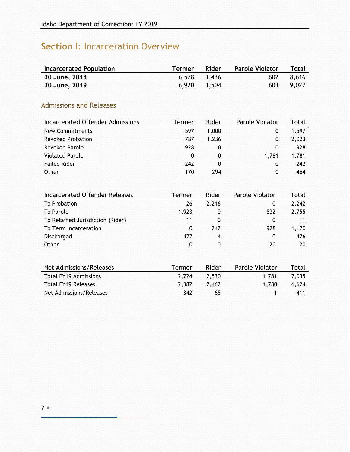# **Section I**: Incarceration Overview

| <b>Incarcerated Population</b> | Termer | Rider       | <b>Parole Violator</b> Total |           |
|--------------------------------|--------|-------------|------------------------------|-----------|
| 30 June, 2018                  |        | 6,578 1,436 |                              | 602 8.616 |
| 30 June, 2019                  |        | 6,920 1,504 |                              | 603 9,027 |

## Admissions and Releases

| Incarcerated Offender Admissions | Termer | Rider | Parole Violator | Total |
|----------------------------------|--------|-------|-----------------|-------|
| New Commitments                  | 597    | 1,000 | 0               | 1,597 |
| <b>Revoked Probation</b>         | 787    | 1.236 | 0               | 2,023 |
| <b>Revoked Parole</b>            | 928    | 0     | 0               | 928   |
| <b>Violated Parole</b>           | 0      | 0     | 1.781           | 1,781 |
| <b>Failed Rider</b>              | 242    | 0     | $\Omega$        | 242   |
| Other                            | 170    | 294   | 0               | 464   |

| <b>Incarcerated Offender Releases</b> | Termer | Rider        | Parole Violator | Total |
|---------------------------------------|--------|--------------|-----------------|-------|
| To Probation                          | 26     | 2,216        | 0               | 2,242 |
| To Parole                             | 1,923  | 0            | 832             | 2,755 |
| To Retained Jurisdiction (Rider)      | 11     | $\mathbf{0}$ | 0               | 11    |
| To Term Incarceration                 | 0      | 242          | 928             | 1,170 |
| Discharged                            | 422    | 4            | $\mathbf{0}$    | 426   |
| Other                                 | 0      | 0            | 20              | 20    |
|                                       |        |              |                 |       |
| Net Admissions/Releases               | Termer | Rider        | Parole Violator | Total |
| <b>Total FY19 Admissions</b>          | 2,724  | 2,530        | 1,781           | 7,035 |
| <b>Total FY19 Releases</b>            | 2,382  | 2,462        | 1.780           | 6,624 |

Net Admissions/Releases 1 342 68 1 411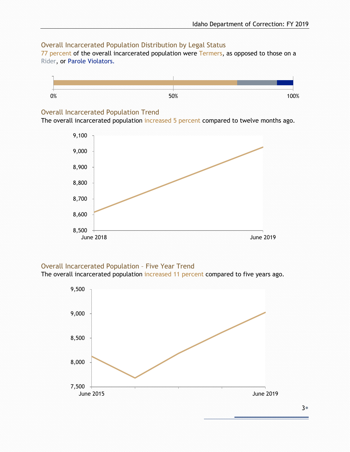### Overall Incarcerated Population Distribution by Legal Status

77 percent of the overall incarcerated population were Termers, as opposed to those on a Rider, or Parole Violators.



### Overall Incarcerated Population Trend

The overall incarcerated population increased 5 percent compared to twelve months ago.



### Overall Incarcerated Population – Five Year Trend

The overall incarcerated population increased 11 percent compared to five years ago.

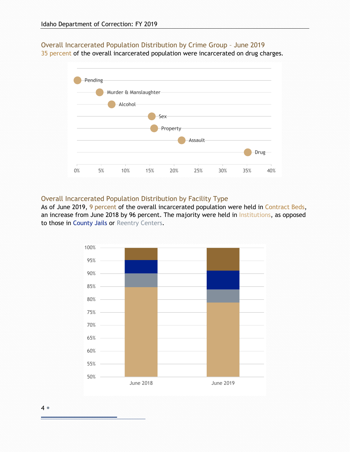Overall Incarcerated Population Distribution by Crime Group – June 2019

35 percent of the overall incarcerated population were incarcerated on drug charges.



#### Overall Incarcerated Population Distribution by Facility Type

As of June 2019, 9 percent of the overall incarcerated population were held in Contract Beds, an increase from June 2018 by 96 percent. The majority were held in Institutions, as opposed to those in County Jails or Reentry Centers.



4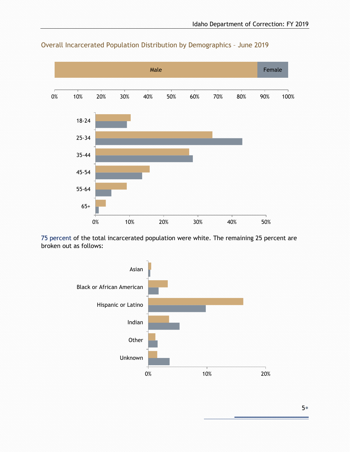

### Overall Incarcerated Population Distribution by Demographics – June 2019

75 percent of the total incarcerated population were white. The remaining 25 percent are broken out as follows:

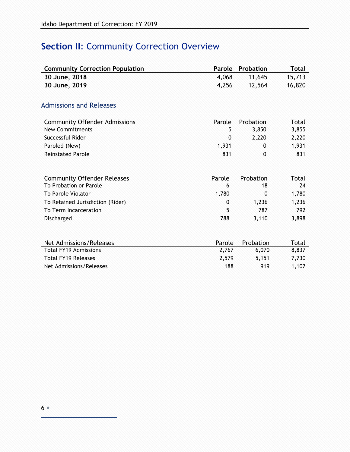# **Section II: Community Correction Overview**

| <b>Community Correction Population</b> | Parole       | Probation   | <b>Total</b> |
|----------------------------------------|--------------|-------------|--------------|
| 30 June, 2018                          | 4,068        | 11,645      | 15,713       |
| 30 June, 2019                          | 4,256        | 12,564      | 16,820       |
|                                        |              |             |              |
| <b>Admissions and Releases</b>         |              |             |              |
| <b>Community Offender Admissions</b>   | Parole       | Probation   | Total        |
| <b>New Commitments</b>                 | 5            | 3,850       | 3,855        |
| Successful Rider                       | $\mathbf 0$  | 2,220       | 2,220        |
| Paroled (New)                          | 1,931        | 0           | 1,931        |
| <b>Reinstated Parole</b>               | 831          | 0           | 831          |
|                                        |              |             |              |
| <b>Community Offender Releases</b>     | Parole       | Probation   | Total        |
| To Probation or Parole                 | 6            | 18          | 24           |
| <b>To Parole Violator</b>              | 1,780        | $\mathbf 0$ | 1,780        |
| To Retained Jurisdiction (Rider)       | $\mathbf{0}$ | 1,236       | 1,236        |
| To Term Incarceration                  | 5            | 787         | 792          |
| Discharged                             | 788          | 3,110       | 3,898        |
|                                        |              |             |              |
| Net Admissions/Releases                | Parole       | Probation   | Total        |
| <b>Total FY19 Admissions</b>           | 2,767        | 6,070       | 8,837        |
| <b>Total FY19 Releases</b>             | 2,579        | 5,151       | 7,730        |
| Net Admissions/Releases                | 188          | 919         | 1,107        |
|                                        |              |             |              |

Ė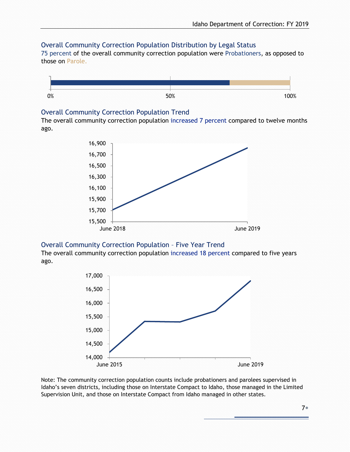### Overall Community Correction Population Distribution by Legal Status

75 percent of the overall community correction population were Probationers, as opposed to those on Parole.



### Overall Community Correction Population Trend

The overall community correction population increased 7 percent compared to twelve months ago.



### Overall Community Correction Population – Five Year Trend

The overall community correction population increased 18 percent compared to five years ago.



Note: The community correction population counts include probationers and parolees supervised in Idaho's seven districts, including those on Interstate Compact to Idaho, those managed in the Limited Supervision Unit, and those on Interstate Compact from Idaho managed in other states.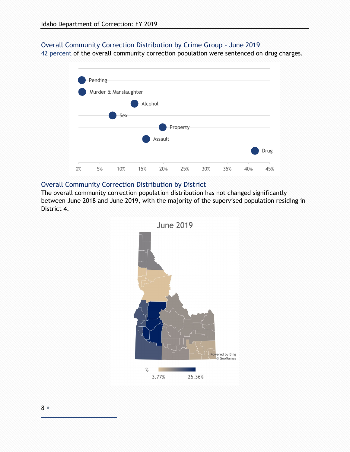### Overall Community Correction Distribution by Crime Group – June 2019

42 percent of the overall community correction population were sentenced on drug charges.



### Overall Community Correction Distribution by District

The overall community correction population distribution has not changed significantly between June 2018 and June 2019, with the majority of the supervised population residing in District 4.



8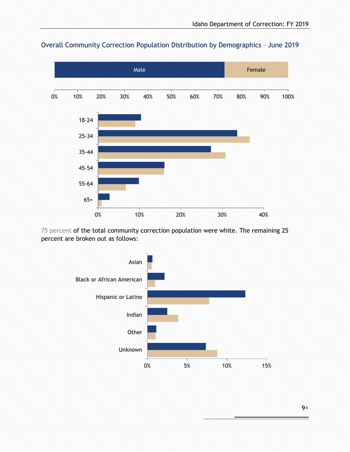

### Overall Community Correction Population Distribution by Demographics – June 2019

75 percent of the total community correction population were white. The remaining 25 percent are broken out as follows:



9